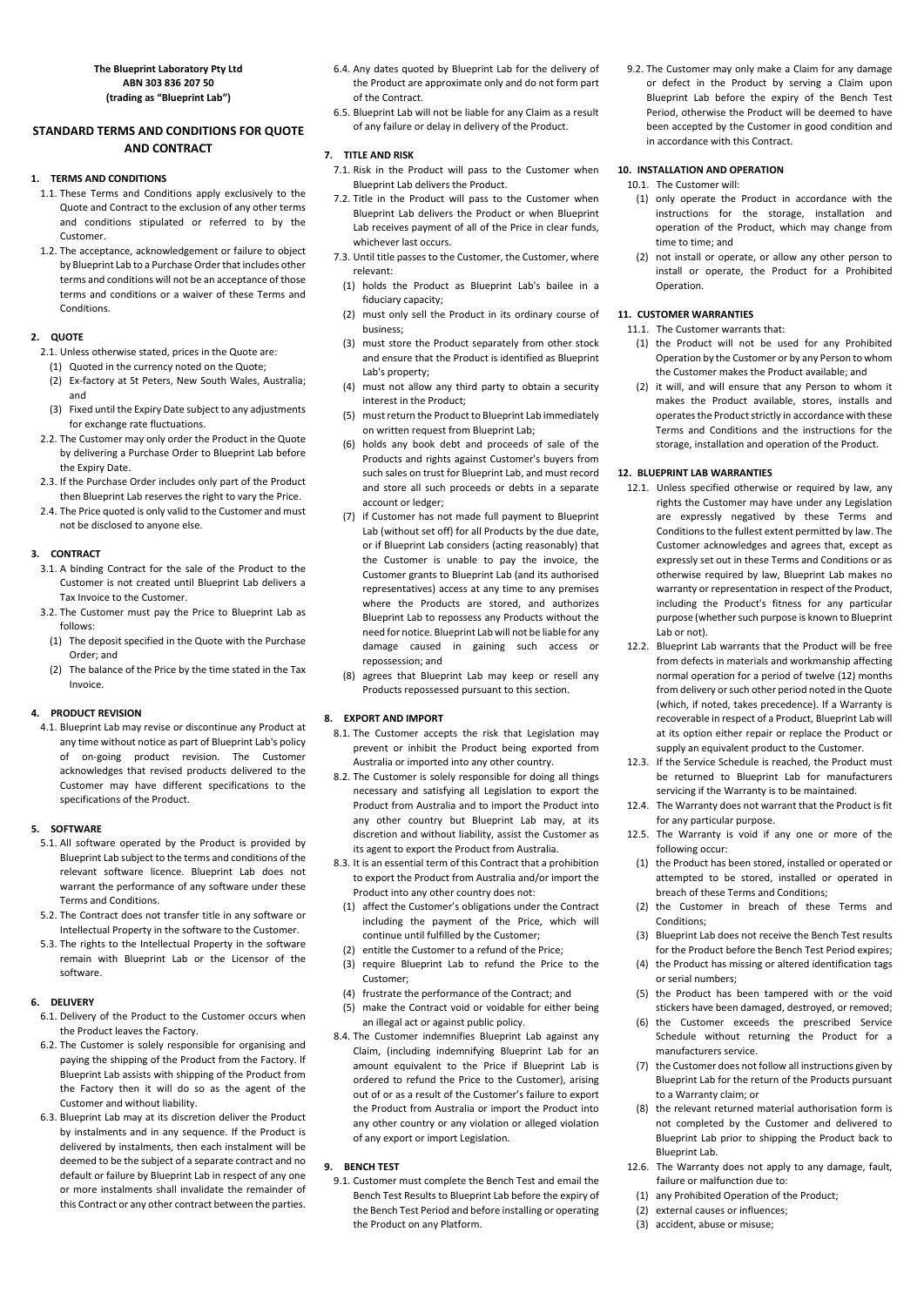**The Blueprint Laboratory Pty Ltd ABN 303 836 207 50 (trading as "Blueprint Lab")** 

# **STANDARD TERMS AND CONDITIONS FOR QUOTE AND CONTRACT**

### **1. TERMS AND CONDITIONS**

- 1.1. These Terms and Conditions apply exclusively to the Quote and Contract to the exclusion of any other terms and conditions stipulated or referred to by the Customer.
- 1.2. The acceptance, acknowledgement or failure to object by Blueprint Lab to a Purchase Order that includes other terms and conditions will not be an acceptance of those terms and conditions or a waiver of these Terms and Conditions.

### **2. QUOTE**

- 3.1. A binding Contract for the sale of the Product to the Customer is not created until Blueprint Lab delivers a Tax Invoice to the Customer.
- 3.2. The Customer must pay the Price to Blueprint Lab as follows:
- (1) The deposit specified in the Quote with the Purchase Order; and
- (2) The balance of the Price by the time stated in the Tax Invoice.
- 2.1. Unless otherwise stated, prices in the Quote are:
	- (1) Quoted in the currency noted on the Quote;
- (2) Ex‐factory at St Peters, New South Wales, Australia; and
- (3) Fixed until the Expiry Date subject to any adjustments for exchange rate fluctuations.
- 2.2. The Customer may only order the Product in the Quote by delivering a Purchase Order to Blueprint Lab before the Expiry Date.
- 2.3. If the Purchase Order includes only part of the Product then Blueprint Lab reserves the right to vary the Price.
- 2.4. The Price quoted is only valid to the Customer and must not be disclosed to anyone else.

# **3. CONTRACT**

# **4. PRODUCT REVISION**

4.1. Blueprint Lab may revise or discontinue any Product at any time without notice as part of Blueprint Lab's policy of on‐going product revision. The Customer acknowledges that revised products delivered to the Customer may have different specifications to the specifications of the Product.

# **5. SOFTWARE**

- 5.1. All software operated by the Product is provided by Blueprint Lab subject to the terms and conditions of the relevant software licence. Blueprint Lab does not warrant the performance of any software under these Terms and Conditions.
- 5.2. The Contract does not transfer title in any software or Intellectual Property in the software to the Customer.
- 5.3. The rights to the Intellectual Property in the software remain with Blueprint Lab or the Licensor of the software.
- 6.4. Any dates quoted by Blueprint Lab for the delivery of the Product are approximate only and do not form part of the Contract.
- 6.5. Blueprint Lab will not be liable for any Claim as a result of any failure or delay in delivery of the Product.

### **7. TITLE AND RISK**

- 7.1. Risk in the Product will pass to the Customer when Blueprint Lab delivers the Product.
- 7.2. Title in the Product will pass to the Customer when Blueprint Lab delivers the Product or when Blueprint Lab receives payment of all of the Price in clear funds, whichever last occurs.
- 7.3. Until title passes to the Customer, the Customer, where relevant:
- (1) holds the Product as Blueprint Lab's bailee in a fiduciary capacity;
- (2) must only sell the Product in its ordinary course of business;
- (3) must store the Product separately from other stock and ensure that the Product is identified as Blueprint Lab's property;
- (4) must not allow any third party to obtain a security interest in the Product;
- (5) must return the Product to Blueprint Lab immediately on written request from Blueprint Lab;
- (6) holds any book debt and proceeds of sale of the Products and rights against Customer's buyers from such sales on trust for Blueprint Lab, and must record and store all such proceeds or debts in a separate account or ledger;
- (7) if Customer has not made full payment to Blueprint Lab (without set off) for all Products by the due date, or if Blueprint Lab considers (acting reasonably) that the Customer is unable to pay the invoice, the Customer grants to Blueprint Lab (and its authorised representatives) access at any time to any premises where the Products are stored, and authorizes Blueprint Lab to repossess any Products without the need for notice. Blueprint Lab will not be liable for any damage caused in gaining such access or repossession; and
- (8) agrees that Blueprint Lab may keep or resell any Products repossessed pursuant to this section.

- **6. DELIVERY** 
	- 6.1. Delivery of the Product to the Customer occurs when the Product leaves the Factory.
	- 6.2. The Customer is solely responsible for organising and paying the shipping of the Product from the Factory. If Blueprint Lab assists with shipping of the Product from the Factory then it will do so as the agent of the Customer and without liability.
	- 6.3. Blueprint Lab may at its discretion deliver the Product by instalments and in any sequence. If the Product is delivered by instalments, then each instalment will be deemed to be the subject of a separate contract and no default or failure by Blueprint Lab in respect of any one or more instalments shall invalidate the remainder of this Contract or any other contract between the parties.
- (4) frustrate the performance of the Contract; and
- (5) make the Contract void or voidable for either being an illegal act or against public policy.
- 8.4. The Customer indemnifies Blueprint Lab against any Claim, (including indemnifying Blueprint Lab for an amount equivalent to the Price if Blueprint Lab is ordered to refund the Price to the Customer), arising out of or as a result of the Customer's failure to export the Product from Australia or import the Product into any other country or any violation or alleged violation of any export or import Legislation.

# **8. EXPORT AND IMPORT**

- 8.1. The Customer accepts the risk that Legislation may prevent or inhibit the Product being exported from Australia or imported into any other country.
- 8.2. The Customer is solely responsible for doing all things necessary and satisfying all Legislation to export the Product from Australia and to import the Product into any other country but Blueprint Lab may, at its discretion and without liability, assist the Customer as its agent to export the Product from Australia.
- 8.3. It is an essential term of this Contract that a prohibition to export the Product from Australia and/or import the Product into any other country does not:
- (1) affect the Customer's obligations under the Contract including the payment of the Price, which will continue until fulfilled by the Customer;
- (2) entitle the Customer to a refund of the Price;
- (3) require Blueprint Lab to refund the Price to the Customer;

#### **9. BENCH TEST**

9.1. Customer must complete the Bench Test and email the Bench Test Results to Blueprint Lab before the expiry of the Bench Test Period and before installing or operating the Product on any Platform.

9.2. The Customer may only make a Claim for any damage or defect in the Product by serving a Claim upon Blueprint Lab before the expiry of the Bench Test Period, otherwise the Product will be deemed to have been accepted by the Customer in good condition and in accordance with this Contract.

### **10. INSTALLATION AND OPERATION**

- 10.1. The Customer will:
	- (1) only operate the Product in accordance with the instructions for the storage, installation and operation of the Product, which may change from time to time; and
- (2) not install or operate, or allow any other person to install or operate, the Product for a Prohibited Operation.

### **11. CUSTOMER WARRANTIES**

11.1. The Customer warrants that:

- (1) the Product will not be used for any Prohibited Operation by the Customer or by any Person to whom the Customer makes the Product available; and
- (2) it will, and will ensure that any Person to whom it makes the Product available, stores, installs and operates the Product strictly in accordance with these Terms and Conditions and the instructions for the storage, installation and operation of the Product.

### **12. BLUEPRINT LAB WARRANTIES**

- 12.1. Unless specified otherwise or required by law, any rights the Customer may have under any Legislation are expressly negatived by these Terms and Conditions to the fullest extent permitted by law. The Customer acknowledges and agrees that, except as expressly set out in these Terms and Conditions or as otherwise required by law, Blueprint Lab makes no warranty or representation in respect of the Product, including the Product's fitness for any particular purpose (whether such purpose is known to Blueprint Lab or not).
- 12.2. Blueprint Lab warrants that the Product will be free from defects in materials and workmanship affecting normal operation for a period of twelve (12) months from delivery or such other period noted in the Quote (which, if noted, takes precedence). If a Warranty is recoverable in respect of a Product, Blueprint Lab will at its option either repair or replace the Product or supply an equivalent product to the Customer.
- 12.3. If the Service Schedule is reached, the Product must be returned to Blueprint Lab for manufacturers servicing if the Warranty is to be maintained.
- 12.4. The Warranty does not warrant that the Product is fit for any particular purpose.
- 12.5. The Warranty is void if any one or more of the following occur:
- (1) the Product has been stored, installed or operated or attempted to be stored, installed or operated in breach of these Terms and Conditions;
- (2) the Customer in breach of these Terms and Conditions;
- (3) Blueprint Lab does not receive the Bench Test results for the Product before the Bench Test Period expires;
- (4) the Product has missing or altered identification tags or serial numbers;

- (5) the Product has been tampered with or the void stickers have been damaged, destroyed, or removed;
- (6) the Customer exceeds the prescribed Service Schedule without returning the Product for a manufacturers service.
- (7) the Customer does not follow all instructions given by Blueprint Lab for the return of the Products pursuant to a Warranty claim; or
- (8) the relevant returned material authorisation form is not completed by the Customer and delivered to Blueprint Lab prior to shipping the Product back to Blueprint Lab.
- 12.6. The Warranty does not apply to any damage, fault, failure or malfunction due to:
	- (1) any Prohibited Operation of the Product;
	- (2) external causes or influences;
	- (3) accident, abuse or misuse;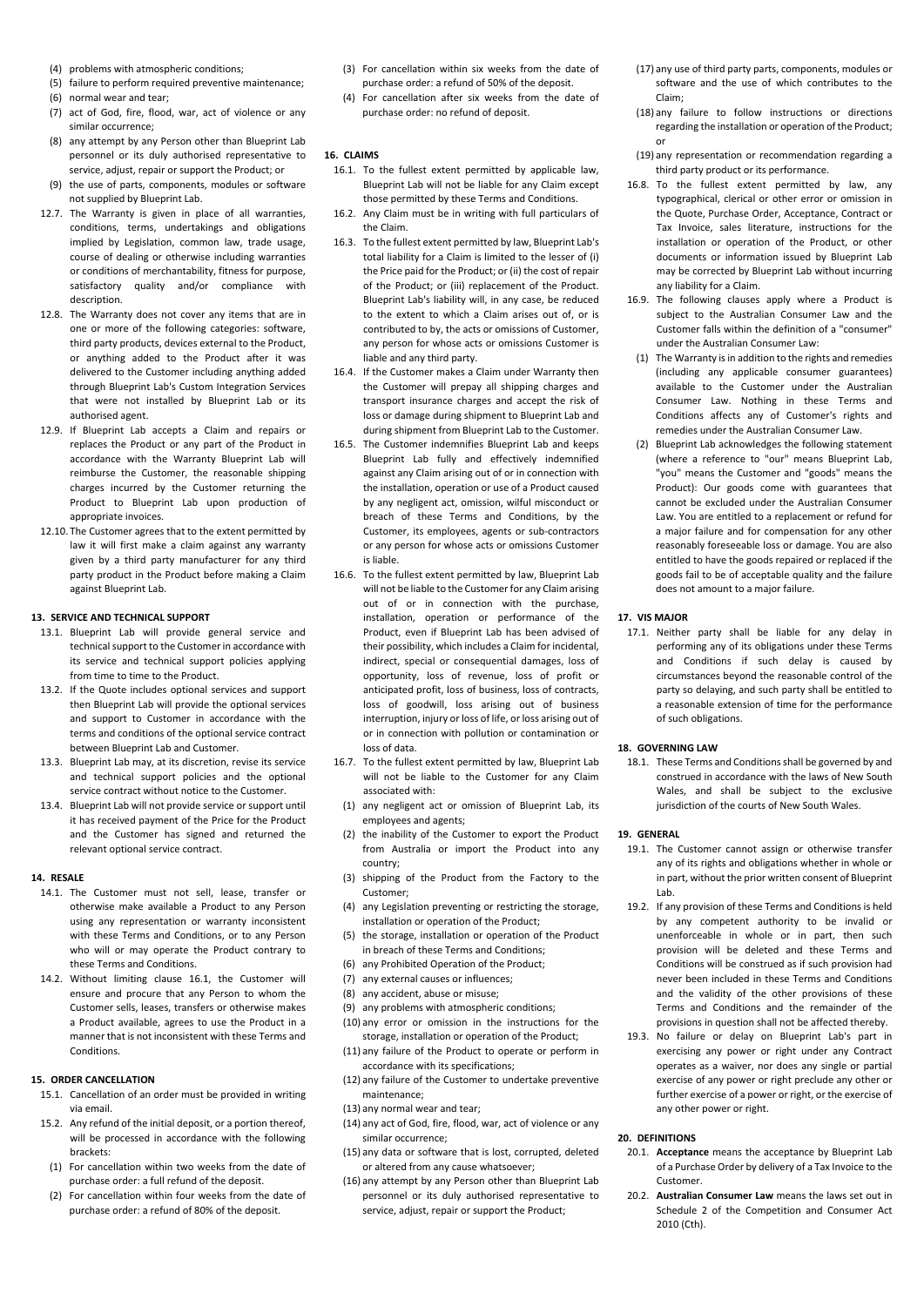- (4) problems with atmospheric conditions;
- (5) failure to perform required preventive maintenance;
- (6) normal wear and tear;
- (7) act of God, fire, flood, war, act of violence or any similar occurrence;
- (8) any attempt by any Person other than Blueprint Lab personnel or its duly authorised representative to service, adjust, repair or support the Product; or
- (9) the use of parts, components, modules or software not supplied by Blueprint Lab.
- 12.7. The Warranty is given in place of all warranties, conditions, terms, undertakings and obligations implied by Legislation, common law, trade usage, course of dealing or otherwise including warranties or conditions of merchantability, fitness for purpose, satisfactory quality and/or compliance with description.
- 12.8. The Warranty does not cover any items that are in one or more of the following categories: software, third party products, devices external to the Product, or anything added to the Product after it was delivered to the Customer including anything added through Blueprint Lab's Custom Integration Services that were not installed by Blueprint Lab or its authorised agent.
- 12.9. If Blueprint Lab accepts a Claim and repairs or replaces the Product or any part of the Product in accordance with the Warranty Blueprint Lab will reimburse the Customer, the reasonable shipping charges incurred by the Customer returning the Product to Blueprint Lab upon production of appropriate invoices.
- 12.10. The Customer agrees that to the extent permitted by law it will first make a claim against any warranty given by a third party manufacturer for any third party product in the Product before making a Claim against Blueprint Lab.

#### **13. SERVICE AND TECHNICAL SUPPORT**

- 13.1. Blueprint Lab will provide general service and technical support to the Customer in accordance with its service and technical support policies applying from time to time to the Product.
- 13.2. If the Quote includes optional services and support then Blueprint Lab will provide the optional services and support to Customer in accordance with the terms and conditions of the optional service contract between Blueprint Lab and Customer.
- 13.3. Blueprint Lab may, at its discretion, revise its service and technical support policies and the optional service contract without notice to the Customer.
- 13.4. Blueprint Lab will not provide service or support until it has received payment of the Price for the Product and the Customer has signed and returned the relevant optional service contract.

#### **14. RESALE**

- 14.1. The Customer must not sell, lease, transfer or otherwise make available a Product to any Person using any representation or warranty inconsistent with these Terms and Conditions, or to any Person who will or may operate the Product contrary to these Terms and Conditions.
- 14.2. Without limiting clause 16.1, the Customer will

ensure and procure that any Person to whom the Customer sells, leases, transfers or otherwise makes a Product available, agrees to use the Product in a manner that is not inconsistent with these Terms and Conditions.

### **15. ORDER CANCELLATION**

- 15.1. Cancellation of an order must be provided in writing via email.
- 15.2. Any refund of the initial deposit, or a portion thereof, will be processed in accordance with the following brackets:
- (1) For cancellation within two weeks from the date of purchase order: a full refund of the deposit.
- (2) For cancellation within four weeks from the date of purchase order: a refund of 80% of the deposit.
- (3) For cancellation within six weeks from the date of purchase order: a refund of 50% of the deposit.
- (4) For cancellation after six weeks from the date of purchase order: no refund of deposit.

### **16. CLAIMS**

- 16.1. To the fullest extent permitted by applicable law, Blueprint Lab will not be liable for any Claim except those permitted by these Terms and Conditions.
- 16.2. Any Claim must be in writing with full particulars of the Claim.
- 16.3. To the fullest extent permitted by law, Blueprint Lab's total liability for a Claim is limited to the lesser of (i) the Price paid for the Product; or (ii) the cost of repair of the Product; or (iii) replacement of the Product. Blueprint Lab's liability will, in any case, be reduced to the extent to which a Claim arises out of, or is contributed to by, the acts or omissions of Customer, any person for whose acts or omissions Customer is liable and any third party.
- 16.4. If the Customer makes a Claim under Warranty then the Customer will prepay all shipping charges and transport insurance charges and accept the risk of loss or damage during shipment to Blueprint Lab and during shipment from Blueprint Lab to the Customer.
- 16.5. The Customer indemnifies Blueprint Lab and keeps Blueprint Lab fully and effectively indemnified against any Claim arising out of or in connection with the installation, operation or use of a Product caused by any negligent act, omission, wilful misconduct or breach of these Terms and Conditions, by the Customer, its employees, agents or sub‐contractors or any person for whose acts or omissions Customer is liable.
- 16.6. To the fullest extent permitted by law, Blueprint Lab will not be liable to the Customer for any Claim arising out of or in connection with the purchase, installation, operation or performance of the Product, even if Blueprint Lab has been advised of their possibility, which includes a Claim for incidental, indirect, special or consequential damages, loss of opportunity, loss of revenue, loss of profit or anticipated profit, loss of business, loss of contracts, loss of goodwill, loss arising out of business interruption, injury or loss of life, or loss arising out of or in connection with pollution or contamination or loss of data.
- 16.7. To the fullest extent permitted by law, Blueprint Lab will not be liable to the Customer for any Claim associated with:
- (1) any negligent act or omission of Blueprint Lab, its employees and agents;
- (2) the inability of the Customer to export the Product from Australia or import the Product into any country;
- (3) shipping of the Product from the Factory to the Customer;
- (4) any Legislation preventing or restricting the storage, installation or operation of the Product;
- (5) the storage, installation or operation of the Product in breach of these Terms and Conditions;
- (6) any Prohibited Operation of the Product; (7) any external causes or influences;
- 

(8) any accident, abuse or misuse;

(9) any problems with atmospheric conditions;

(10) any error or omission in the instructions for the storage, installation or operation of the Product; (11) any failure of the Product to operate or perform in accordance with its specifications;

(12) any failure of the Customer to undertake preventive maintenance;

(13) any normal wear and tear;

(14) any act of God, fire, flood, war, act of violence or any similar occurrence;

(15) any data or software that is lost, corrupted, deleted or altered from any cause whatsoever;

(16) any attempt by any Person other than Blueprint Lab personnel or its duly authorised representative to service, adjust, repair or support the Product;

- (17) any use of third party parts, components, modules or software and the use of which contributes to the Claim;
- (18) any failure to follow instructions or directions regarding the installation or operation of the Product; or
- (19) any representation or recommendation regarding a third party product or its performance.
- 16.8. To the fullest extent permitted by law, any typographical, clerical or other error or omission in the Quote, Purchase Order, Acceptance, Contract or Tax Invoice, sales literature, instructions for the installation or operation of the Product, or other documents or information issued by Blueprint Lab may be corrected by Blueprint Lab without incurring any liability for a Claim.
- 16.9. The following clauses apply where a Product is subject to the Australian Consumer Law and the Customer falls within the definition of a "consumer" under the Australian Consumer Law:
- (1) The Warranty is in addition to the rights and remedies (including any applicable consumer guarantees) available to the Customer under the Australian Consumer Law. Nothing in these Terms and Conditions affects any of Customer's rights and remedies under the Australian Consumer Law.
- (2) Blueprint Lab acknowledges the following statement (where a reference to "our" means Blueprint Lab, "you" means the Customer and "goods" means the Product): Our goods come with guarantees that cannot be excluded under the Australian Consumer Law. You are entitled to a replacement or refund for a major failure and for compensation for any other reasonably foreseeable loss or damage. You are also entitled to have the goods repaired or replaced if the goods fail to be of acceptable quality and the failure does not amount to a major failure.

#### **17. VIS MAJOR**

17.1. Neither party shall be liable for any delay in performing any of its obligations under these Terms and Conditions if such delay is caused by circumstances beyond the reasonable control of the party so delaying, and such party shall be entitled to a reasonable extension of time for the performance of such obligations.

#### **18. GOVERNING LAW**

18.1. These Terms and Conditions shall be governed by and construed in accordance with the laws of New South Wales, and shall be subject to the exclusive jurisdiction of the courts of New South Wales.

#### **19. GENERAL**

- 19.1. The Customer cannot assign or otherwise transfer any of its rights and obligations whether in whole or in part, without the prior written consent of Blueprint Lab.
- 19.2. If any provision of these Terms and Conditions is held by any competent authority to be invalid or unenforceable in whole or in part, then such provision will be deleted and these Terms and Conditions will be construed as if such provision had never been included in these Terms and Conditions

and the validity of the other provisions of these Terms and Conditions and the remainder of the provisions in question shall not be affected thereby.

19.3. No failure or delay on Blueprint Lab's part in exercising any power or right under any Contract operates as a waiver, nor does any single or partial exercise of any power or right preclude any other or further exercise of a power or right, or the exercise of any other power or right.

#### **20. DEFINITIONS**

- 20.1. **Acceptance** means the acceptance by Blueprint Lab of a Purchase Order by delivery of a Tax Invoice to the Customer.
- 20.2. **Australian Consumer Law** means the laws set out in Schedule 2 of the Competition and Consumer Act 2010 (Cth).